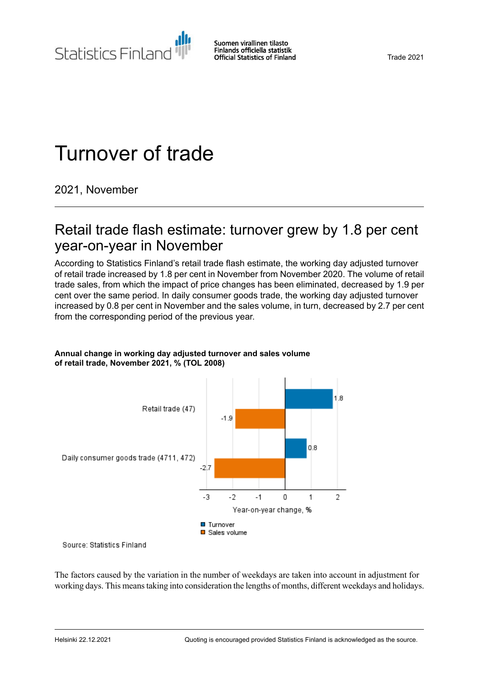Statistics Finland

# Turnover of trade

2021, November

### Retail trade flash estimate: turnover grew by 1.8 per cent year-on-year in November

According to Statistics Finland's retail trade flash estimate, the working day adjusted turnover of retail trade increased by 1.8 per cent in November from November 2020. The volume of retail trade sales, from which the impact of price changes has been eliminated, decreased by 1.9 per cent over the same period. In daily consumer goods trade, the working day adjusted turnover increased by 0.8 per cent in November and the sales volume, in turn, decreased by 2.7 per cent from the corresponding period of the previous year.



#### **Annual change in working day adjusted turnover and sales volume of retail trade, November 2021, % (TOL 2008)**

Source: Statistics Finland

The factors caused by the variation in the number of weekdays are taken into account in adjustment for working days. This meanstaking into consideration the lengths of months, different weekdays and holidays.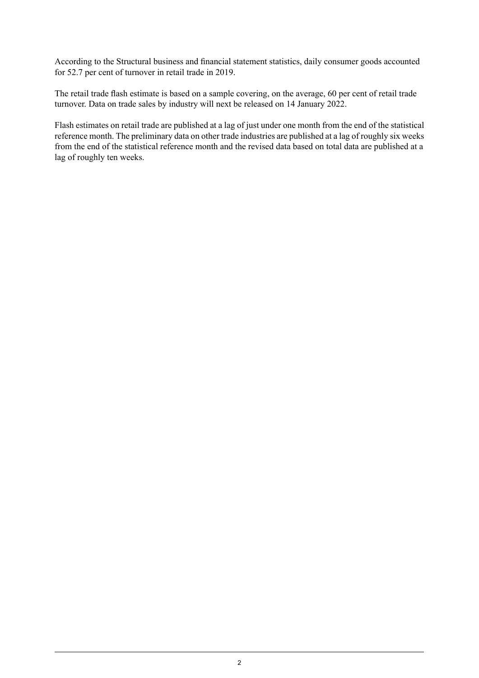According to the Structural business and financial statement statistics, daily consumer goods accounted for 52.7 per cent of turnover in retail trade in 2019.

The retail trade flash estimate is based on a sample covering, on the average, 60 per cent of retail trade turnover. Data on trade sales by industry will next be released on 14 January 2022.

Flash estimates on retail trade are published at a lag of just under one month from the end of the statistical reference month. The preliminary data on other trade industries are published at a lag of roughly six weeks from the end of the statistical reference month and the revised data based on total data are published at a lag of roughly ten weeks.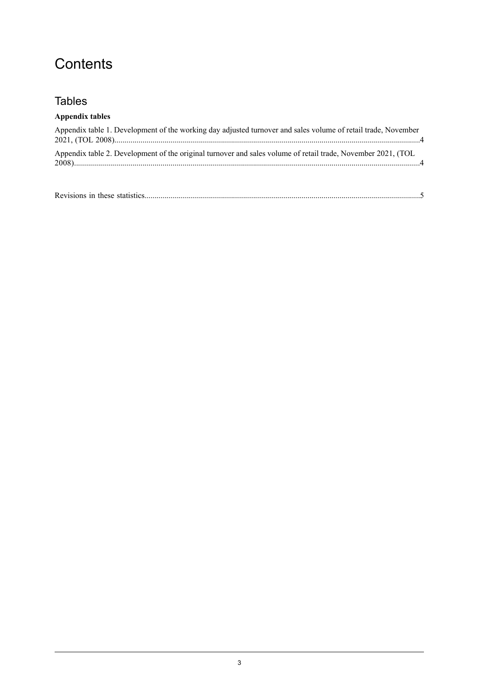# **Contents**

### Tables

| <b>Appendix tables</b>                                                                                        |
|---------------------------------------------------------------------------------------------------------------|
| Appendix table 1. Development of the working day adjusted turnover and sales volume of retail trade, November |
| Appendix table 2. Development of the original turnover and sales volume of retail trade, November 2021, (TOL  |

|--|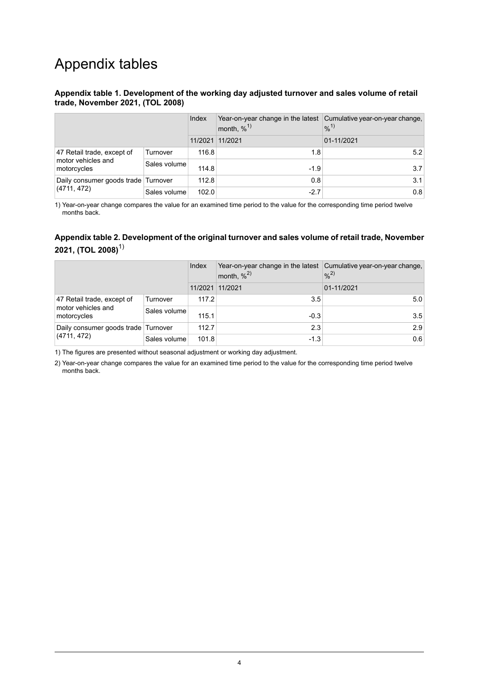## Appendix tables

#### <span id="page-3-0"></span>**Appendix table 1. Development of the working day adjusted turnover and sales volume of retail trade, November 2021, (TOL 2008)**

|                                                                 |              | Index   | Year-on-year change in the latest Cumulative year-on-year change,<br>month, $\%$ <sup>1)</sup> | $9/0^{1}$  |
|-----------------------------------------------------------------|--------------|---------|------------------------------------------------------------------------------------------------|------------|
|                                                                 |              | 11/2021 | 11/2021                                                                                        | 01-11/2021 |
| 47 Retail trade, except of<br>motor vehicles and<br>motorcycles | Turnover     | 116.8   | 1.8                                                                                            | 5.2        |
|                                                                 | Sales volume | 114.8   | $-1.9$                                                                                         | 3.7        |
| Daily consumer goods trade Turnover<br>(4711, 472)              |              | 112.8   | 0.8                                                                                            | 3.1        |
|                                                                 | Sales volume | 102.0   | $-2.7$                                                                                         | 0.8        |

<span id="page-3-1"></span>1) Year-on-year change compares the value for an examined time period to the value for the corresponding time period twelve months back.

#### **Appendix table 2. Development of the original turnover and sales volume of retail trade, November 2021, (TOL 2008)**1)

|                                                                 |              | Index   | Year-on-year change in the latest Cumulative year-on-year change,<br>month, $\%^{2)}$ | $%^{2)}$   |
|-----------------------------------------------------------------|--------------|---------|---------------------------------------------------------------------------------------|------------|
|                                                                 |              | 11/2021 | 11/2021                                                                               | 01-11/2021 |
| 47 Retail trade, except of<br>motor vehicles and<br>motorcycles | Turnover     | 117.2   | 3.5                                                                                   | 5.0        |
|                                                                 | Sales volume | 115.1   | $-0.3$                                                                                | 3.5        |
| Daily consumer goods trade Turnover<br>(4711, 472)              |              | 112.7   | 2.3                                                                                   | 2.9        |
|                                                                 | Sales volume | 101.8   | $-1.3$                                                                                | 0.6        |

1) The figures are presented without seasonal adjustment or working day adjustment.

2) Year-on-year change compares the value for an examined time period to the value for the corresponding time period twelve months back.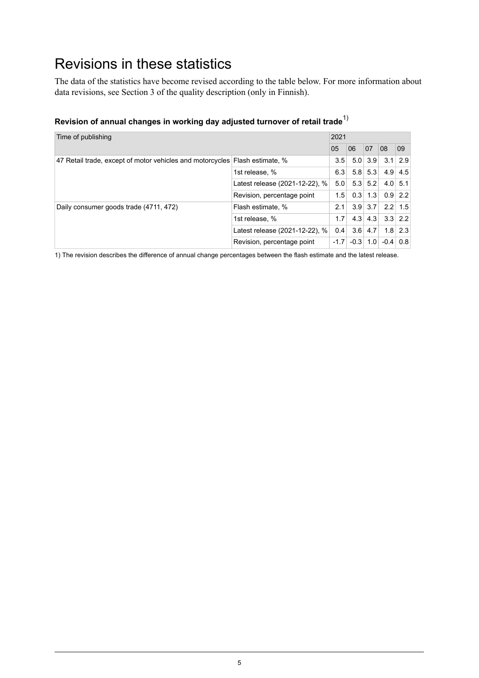# <span id="page-4-0"></span>Revisions in these statistics

The data of the statistics have become revised according to the table below. For more information about data revisions, see Section 3 of the quality description (only in Finnish).

| Time of publishing                                                          |                                | 2021   |        |                     |           |                   |  |
|-----------------------------------------------------------------------------|--------------------------------|--------|--------|---------------------|-----------|-------------------|--|
|                                                                             |                                | 05     | 06     | 07                  | 08        | 09                |  |
| 47 Retail trade, except of motor vehicles and motorcycles Flash estimate, % |                                | 3.5    |        | $5.0$ 3.9           |           | $3.1 \,   \, 2.9$ |  |
|                                                                             | 1st release, %                 | 6.3    |        | $5.8$ 5.3           |           | $4.9 \mid 4.5$    |  |
|                                                                             | Latest release (2021-12-22), % | 5.0    |        | $5.3$ 5.2           |           | $4.0 \,   \, 5.1$ |  |
|                                                                             | Revision, percentage point     | 1.5    | 0.3    | $\vert$ 1.3 $\vert$ |           | $0.9$ 2.2         |  |
| Daily consumer goods trade (4711, 472)                                      | Flash estimate, %              | 2.1    |        | $3.9$ 3.7           | $2.2$ 1.5 |                   |  |
|                                                                             | 1st release, %                 | 1.7    | 4.3    | 4.3                 |           | $3.3$ 2.2         |  |
|                                                                             | Latest release (2021-12-22), % | 0.4    | 3.6    | 4.7                 |           | $1.8$ 2.3         |  |
|                                                                             | Revision, percentage point     | $-1.7$ | $-0.3$ | 1.0                 | $-0.4$    | 0.8               |  |

### **Revision of annual changes in working day adjusted turnover of retail trade**1)

1) The revision describes the difference of annual change percentages between the flash estimate and the latest release.